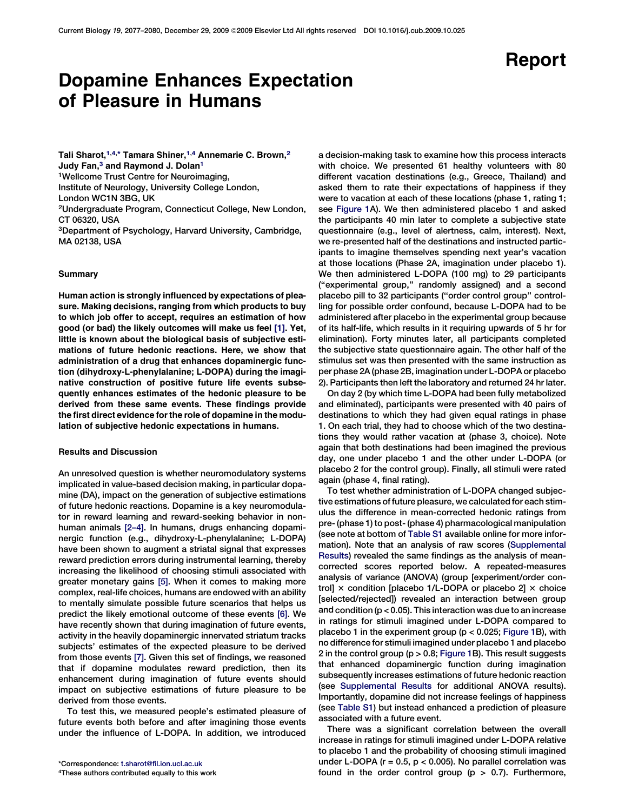# Report

# Dopamine Enhances Expectation of Pleasure in Humans

Tali Sharot, 1,4,\* Tamara Shiner, 1,4 Annemarie C. Brown, 2 Judy Fan,<sup>3</sup> and Raymond J. Dolan<sup>1</sup>

1Wellcome Trust Centre for Neuroimaging,

Institute of Neurology, University College London,

London WC1N 3BG, UK

2Undergraduate Program, Connecticut College, New London, CT 06320, USA

3Department of Psychology, Harvard University, Cambridge, MA 02138, USA

## **Summary**

Human action is strongly influenced by expectations of pleasure. Making decisions, ranging from which products to buy to which job offer to accept, requires an estimation of how good (or bad) the likely outcomes will make us feel [\[1\]](#page-2-0). Yet, little is known about the biological basis of subjective estimations of future hedonic reactions. Here, we show that administration of a drug that enhances dopaminergic function (dihydroxy-L-phenylalanine; L-DOPA) during the imaginative construction of positive future life events subsequently enhances estimates of the hedonic pleasure to be derived from these same events. These findings provide the first direct evidence for the role of dopamine in the modulation of subjective hedonic expectations in humans.

## Results and Discussion

An unresolved question is whether neuromodulatory systems implicated in value-based decision making, in particular dopamine (DA), impact on the generation of subjective estimations of future hedonic reactions. Dopamine is a key neuromodulator in reward learning and reward-seeking behavior in nonhuman animals [\[2–4\].](#page-3-0) In humans, drugs enhancing dopaminergic function (e.g., dihydroxy-L-phenylalanine; L-DOPA) have been shown to augment a striatal signal that expresses reward prediction errors during instrumental learning, thereby increasing the likelihood of choosing stimuli associated with greater monetary gains [\[5\]](#page-3-0). When it comes to making more complex, real-life choices, humans are endowed with an ability to mentally simulate possible future scenarios that helps us predict the likely emotional outcome of these events [\[6\]](#page-3-0). We have recently shown that during imagination of future events, activity in the heavily dopaminergic innervated striatum tracks subjects' estimates of the expected pleasure to be derived from those events [\[7\].](#page-3-0) Given this set of findings, we reasoned that if dopamine modulates reward prediction, then its enhancement during imagination of future events should impact on subjective estimations of future pleasure to be derived from those events.

To test this, we measured people's estimated pleasure of future events both before and after imagining those events under the influence of L-DOPA. In addition, we introduced

4These authors contributed equally to this work

a decision-making task to examine how this process interacts with choice. We presented 61 healthy volunteers with 80 different vacation destinations (e.g., Greece, Thailand) and asked them to rate their expectations of happiness if they were to vacation at each of these locations (phase 1, rating 1; see [Figure 1](#page-1-0)A). We then administered placebo 1 and asked the participants 40 min later to complete a subjective state questionnaire (e.g., level of alertness, calm, interest). Next, we re-presented half of the destinations and instructed participants to imagine themselves spending next year's vacation at those locations (Phase 2A, imagination under placebo 1). We then administered L-DOPA (100 mg) to 29 participants (''experimental group,'' randomly assigned) and a second placebo pill to 32 participants (''order control group'' controlling for possible order confound, because L-DOPA had to be administered after placebo in the experimental group because of its half-life, which results in it requiring upwards of 5 hr for elimination). Forty minutes later, all participants completed the subjective state questionnaire again. The other half of the stimulus set was then presented with the same instruction as per phase 2A (phase 2B, imagination under L-DOPA or placebo 2). Participants then left the laboratory and returned 24 hr later.

On day 2 (by which time L-DOPA had been fully metabolized and eliminated), participants were presented with 40 pairs of destinations to which they had given equal ratings in phase 1. On each trial, they had to choose which of the two destinations they would rather vacation at (phase 3, choice). Note again that both destinations had been imagined the previous day, one under placebo 1 and the other under L-DOPA (or placebo 2 for the control group). Finally, all stimuli were rated again (phase 4, final rating).

To test whether administration of L-DOPA changed subjective estimations of future pleasure, we calculated for each stimulus the difference in mean-corrected hedonic ratings from pre- (phase 1) to post- (phase 4) pharmacological manipulation (see note at bottom of [Table S1](#page-2-0) available online for more information). Note that an analysis of raw scores ([Supplemental](#page-2-0) [Results\)](#page-2-0) revealed the same findings as the analysis of meancorrected scores reported below. A repeated-measures analysis of variance (ANOVA) (group [experiment/order control]  $\times$  condition [placebo 1/L-DOPA or placebo 2]  $\times$  choice [selected/rejected]) revealed an interaction between group and condition (p < 0.05). This interaction was due to an increase in ratings for stimuli imagined under L-DOPA compared to placebo 1 in the experiment group (p < 0.025; [Figure 1](#page-1-0)B), with no difference for stimuli imagined under placebo 1 and placebo 2 in the control group (p > 0.8; [Figure 1](#page-1-0)B). This result suggests that enhanced dopaminergic function during imagination subsequently increases estimations of future hedonic reaction (see [Supplemental Results](#page-2-0) for additional ANOVA results). Importantly, dopamine did not increase feelings of happiness (see [Table S1\)](#page-2-0) but instead enhanced a prediction of pleasure associated with a future event.

There was a significant correlation between the overall increase in ratings for stimuli imagined under L-DOPA relative to placebo 1 and the probability of choosing stimuli imagined under L-DOPA ( $r = 0.5$ ,  $p < 0.005$ ). No parallel correlation was found in the order control group ( $p > 0.7$ ). Furthermore,

<sup>\*</sup>Correspondence: [t.sharot@fil.ion.ucl.ac.uk](mailto:t.sharot@fil.ion.ucl.ac.uk)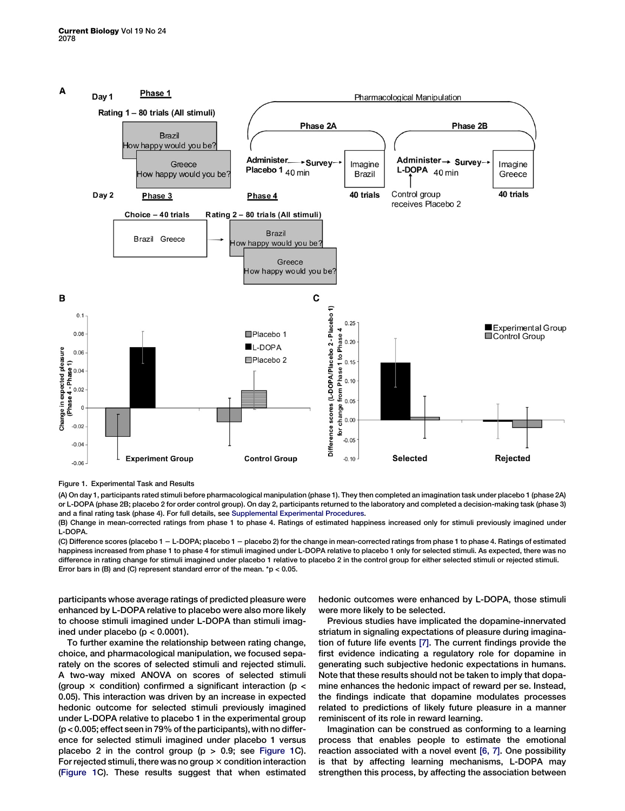<span id="page-1-0"></span>

Figure 1. Experimental Task and Results

(A) On day 1, participants rated stimuli before pharmacological manipulation (phase 1). They then completed an imagination task under placebo 1 (phase 2A) or L-DOPA (phase 2B; placebo 2 for order control group). On day 2, participants returned to the laboratory and completed a decision-making task (phase 3) and a final rating task (phase 4). For full details, see [Supplemental Experimental Procedures.](#page-2-0)

(B) Change in mean-corrected ratings from phase 1 to phase 4. Ratings of estimated happiness increased only for stimuli previously imagined under L-DOPA.

(C) Difference scores (placebo 1 - L-DOPA; placebo 1 - placebo 2) for the change in mean-corrected ratings from phase 1 to phase 4. Ratings of estimated happiness increased from phase 1 to phase 4 for stimuli imagined under L-DOPA relative to placebo 1 only for selected stimuli. As expected, there was no difference in rating change for stimuli imagined under placebo 1 relative to placebo 2 in the control group for either selected stimuli or rejected stimuli. Error bars in (B) and (C) represent standard error of the mean.  $p < 0.05$ .

participants whose average ratings of predicted pleasure were enhanced by L-DOPA relative to placebo were also more likely to choose stimuli imagined under L-DOPA than stimuli imagined under placebo ( $p < 0.0001$ ).

To further examine the relationship between rating change, choice, and pharmacological manipulation, we focused separately on the scores of selected stimuli and rejected stimuli. A two-way mixed ANOVA on scores of selected stimuli (group  $\times$  condition) confirmed a significant interaction (p < 0.05). This interaction was driven by an increase in expected hedonic outcome for selected stimuli previously imagined under L-DOPA relative to placebo 1 in the experimental group (p < 0.005; effect seen in 79% of the participants), with no difference for selected stimuli imagined under placebo 1 versus placebo 2 in the control group ( $p > 0.9$ ; see Figure 1C). For rejected stimuli, there was no group  $\times$  condition interaction (Figure 1C). These results suggest that when estimated hedonic outcomes were enhanced by L-DOPA, those stimuli were more likely to be selected.

Previous studies have implicated the dopamine-innervated striatum in signaling expectations of pleasure during imagination of future life events [\[7\]](#page-3-0). The current findings provide the first evidence indicating a regulatory role for dopamine in generating such subjective hedonic expectations in humans. Note that these results should not be taken to imply that dopamine enhances the hedonic impact of reward per se. Instead, the findings indicate that dopamine modulates processes related to predictions of likely future pleasure in a manner reminiscent of its role in reward learning.

Imagination can be construed as conforming to a learning process that enables people to estimate the emotional reaction associated with a novel event [\[6, 7\].](#page-3-0) One possibility is that by affecting learning mechanisms, L-DOPA may strengthen this process, by affecting the association between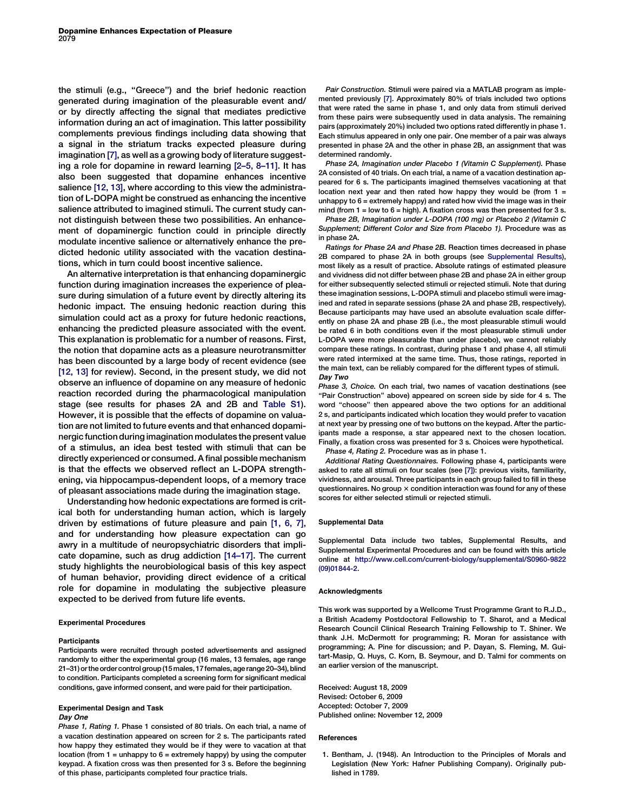<span id="page-2-0"></span>the stimuli (e.g., ''Greece'') and the brief hedonic reaction generated during imagination of the pleasurable event and/ or by directly affecting the signal that mediates predictive information during an act of imagination. This latter possibility complements previous findings including data showing that a signal in the striatum tracks expected pleasure during imagination [\[7\],](#page-3-0) as well as a growing body of literature suggesting a role for dopamine in reward learning [\[2–5, 8–11\]](#page-3-0). It has also been suggested that dopamine enhances incentive salience [\[12, 13\],](#page-3-0) where according to this view the administration of L-DOPA might be construed as enhancing the incentive salience attributed to imagined stimuli. The current study cannot distinguish between these two possibilities. An enhancement of dopaminergic function could in principle directly modulate incentive salience or alternatively enhance the predicted hedonic utility associated with the vacation destinations, which in turn could boost incentive salience.

An alternative interpretation is that enhancing dopaminergic function during imagination increases the experience of pleasure during simulation of a future event by directly altering its hedonic impact. The ensuing hedonic reaction during this simulation could act as a proxy for future hedonic reactions, enhancing the predicted pleasure associated with the event. This explanation is problematic for a number of reasons. First, the notion that dopamine acts as a pleasure neurotransmitter has been discounted by a large body of recent evidence (see [\[12, 13\]](#page-3-0) for review). Second, in the present study, we did not observe an influence of dopamine on any measure of hedonic reaction recorded during the pharmacological manipulation stage (see results for phases 2A and 2B and Table S1). However, it is possible that the effects of dopamine on valuation are not limited to future events and that enhanced dopaminergic function during imagination modulates the present value of a stimulus, an idea best tested with stimuli that can be directly experienced or consumed. A final possible mechanism is that the effects we observed reflect an L-DOPA strengthening, via hippocampus-dependent loops, of a memory trace of pleasant associations made during the imagination stage.

Understanding how hedonic expectations are formed is critical both for understanding human action, which is largely driven by estimations of future pleasure and pain [1, 6, 7], and for understanding how pleasure expectation can go awry in a multitude of neuropsychiatric disorders that implicate dopamine, such as drug addiction [\[14–17\]](#page-3-0). The current study highlights the neurobiological basis of this key aspect of human behavior, providing direct evidence of a critical role for dopamine in modulating the subjective pleasure expected to be derived from future life events.

#### Experimental Procedures

#### **Participants**

Participants were recruited through posted advertisements and assigned randomly to either the experimental group (16 males, 13 females, age range 21-31) or the order control group (15 males, 17 females, age range 20-34), blind to condition. Participants completed a screening form for significant medical conditions, gave informed consent, and were paid for their participation.

#### Experimental Design and Task

#### Day One

Phase 1, Rating 1. Phase 1 consisted of 80 trials. On each trial, a name of a vacation destination appeared on screen for 2 s. The participants rated how happy they estimated they would be if they were to vacation at that location (from  $1 =$  unhappy to  $6 =$  extremely happy) by using the computer keypad. A fixation cross was then presented for 3 s. Before the beginning of this phase, participants completed four practice trials.

Pair Construction. Stimuli were paired via a MATLAB program as implemented previously [\[7\]](#page-3-0). Approximately 80% of trials included two options that were rated the same in phase 1, and only data from stimuli derived from these pairs were subsequently used in data analysis. The remaining pairs (approximately 20%) included two options rated differently in phase 1. Each stimulus appeared in only one pair. One member of a pair was always presented in phase 2A and the other in phase 2B, an assignment that was determined randomly.

Phase 2A, Imagination under Placebo 1 (Vitamin C Supplement). Phase 2A consisted of 40 trials. On each trial, a name of a vacation destination appeared for 6 s. The participants imagined themselves vacationing at that location next year and then rated how happy they would be (from  $1 =$ unhappy to 6 = extremely happy) and rated how vivid the image was in their mind (from  $1 =$  low to  $6 =$  high). A fixation cross was then presented for  $3$  s.

Phase 2B, Imagination under L-DOPA (100 mg) or Placebo 2 (Vitamin C Supplement; Different Color and Size from Placebo 1). Procedure was as in phase 2A.

Ratings for Phase 2A and Phase 2B. Reaction times decreased in phase 2B compared to phase 2A in both groups (see Supplemental Results), most likely as a result of practice. Absolute ratings of estimated pleasure and vividness did not differ between phase 2B and phase 2A in either group for either subsequently selected stimuli or rejected stimuli. Note that during these imagination sessions, L-DOPA stimuli and placebo stimuli were imagined and rated in separate sessions (phase 2A and phase 2B, respectively). Because participants may have used an absolute evaluation scale differently on phase 2A and phase 2B (i.e., the most pleasurable stimuli would be rated 6 in both conditions even if the most pleasurable stimuli under L-DOPA were more pleasurable than under placebo), we cannot reliably compare these ratings. In contrast, during phase 1 and phase 4, all stimuli were rated intermixed at the same time. Thus, those ratings, reported in the main text, can be reliably compared for the different types of stimuli. Day Two

Phase 3, Choice. On each trial, two names of vacation destinations (see "Pair Construction" above) appeared on screen side by side for 4 s. The word ''choose'' then appeared above the two options for an additional 2 s, and participants indicated which location they would prefer to vacation at next year by pressing one of two buttons on the keypad. After the participants made a response, a star appeared next to the chosen location. Finally, a fixation cross was presented for 3 s. Choices were hypothetical. Phase 4, Rating 2. Procedure was as in phase 1.

Additional Rating Questionnaires. Following phase 4, participants were asked to rate all stimuli on four scales (see [\[7\]\)](#page-3-0): previous visits, familiarity, vividness, and arousal. Three participants in each group failed to fill in these questionnaires. No group  $\times$  condition interaction was found for any of these scores for either selected stimuli or rejected stimuli.

#### Supplemental Data

Supplemental Data include two tables, Supplemental Results, and Supplemental Experimental Procedures and can be found with this article online at [http://www.cell.com/current-biology/supplemental/S0960-9822](http://www.cell.com/current-biology/supplemental/S0960-9822(09)01844-2) [\(09\)01844-2.](http://www.cell.com/current-biology/supplemental/S0960-9822(09)01844-2)

#### Acknowledgments

This work was supported by a Wellcome Trust Programme Grant to R.J.D., a British Academy Postdoctoral Fellowship to T. Sharot, and a Medical Research Council Clinical Research Training Fellowship to T. Shiner. We thank J.H. McDermott for programming; R. Moran for assistance with programming; A. Pine for discussion; and P. Dayan, S. Fleming, M. Guitart-Masip, Q. Huys, C. Korn, B. Seymour, and D. Talmi for comments on an earlier version of the manuscript.

Received: August 18, 2009 Revised: October 6, 2009 Accepted: October 7, 2009 Published online: November 12, 2009

#### References

1. Bentham, J. (1948). An Introduction to the Principles of Morals and Legislation (New York: Hafner Publishing Company). Originally published in 1789.